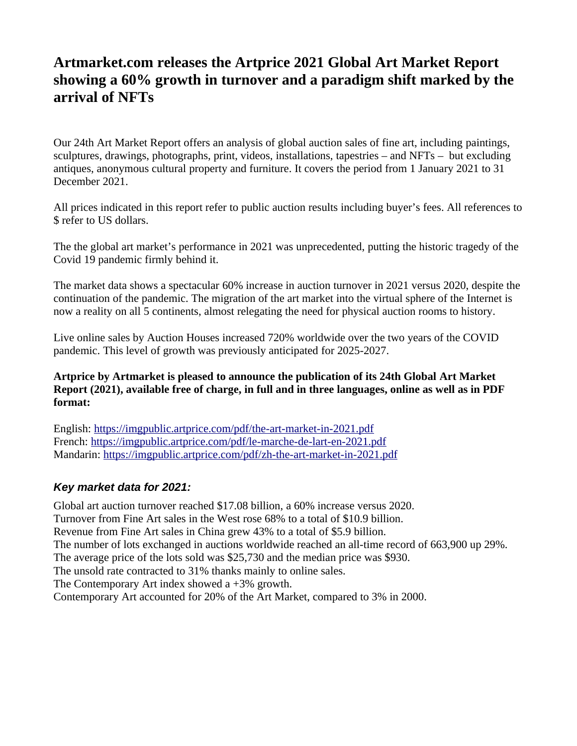## **Artmarket.com releases the Artprice 2021 Global Art Market Report showing a 60% growth in turnover and a paradigm shift marked by the arrival of NFTs**

Our 24th Art Market Report offers an analysis of global auction sales of fine art, including paintings, sculptures, drawings, photographs, print, videos, installations, tapestries – and NFTs – but excluding antiques, anonymous cultural property and furniture. It covers the period from 1 January 2021 to 31 December 2021.

All prices indicated in this report refer to public auction results including buyer's fees. All references to \$ refer to US dollars.

The the global art market's performance in 2021 was unprecedented, putting the historic tragedy of the Covid 19 pandemic firmly behind it.

The market data shows a spectacular 60% increase in auction turnover in 2021 versus 2020, despite the continuation of the pandemic. The migration of the art market into the virtual sphere of the Internet is now a reality on all 5 continents, almost relegating the need for physical auction rooms to history.

Live online sales by Auction Houses increased 720% worldwide over the two years of the COVID pandemic. This level of growth was previously anticipated for 2025-2027.

#### **Artprice by Artmarket is pleased to announce the publication of its 24th Global Art Market Report (2021), available free of charge, in full and in three languages, online as well as in PDF format:**

English: <https://imgpublic.artprice.com/pdf/the-art-market-in-2021.pdf> French:<https://imgpublic.artprice.com/pdf/le-marche-de-lart-en-2021.pdf> Mandarin: <https://imgpublic.artprice.com/pdf/zh-the-art-market-in-2021.pdf>

## *Key market data for 2021:*

Global art auction turnover reached \$17.08 billion, a 60% increase versus 2020. Turnover from Fine Art sales in the West rose 68% to a total of \$10.9 billion. Revenue from Fine Art sales in China grew 43% to a total of \$5.9 billion. The number of lots exchanged in auctions worldwide reached an all-time record of 663,900 up 29%. The average price of the lots sold was \$25,730 and the median price was \$930. The unsold rate contracted to 31% thanks mainly to online sales. The Contemporary Art index showed a +3% growth. Contemporary Art accounted for 20% of the Art Market, compared to 3% in 2000.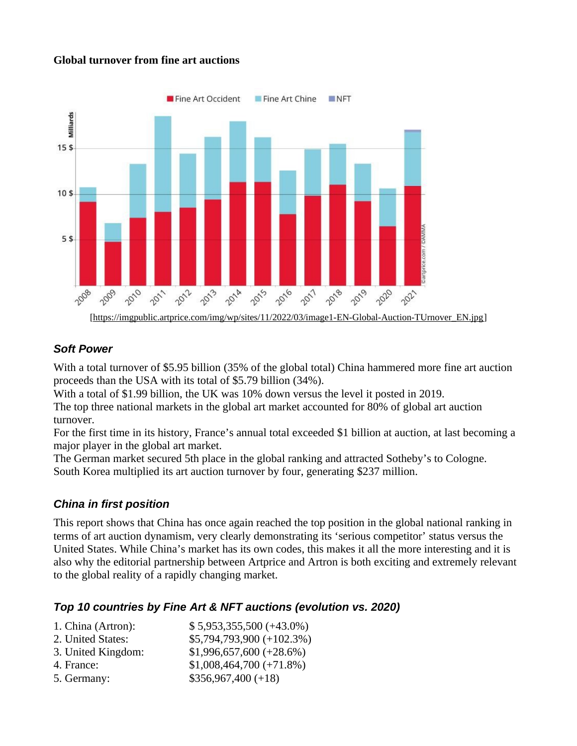#### **Global turnover from fine art auctions**



#### *Soft Power*

With a total turnover of \$5.95 billion (35% of the global total) China hammered more fine art auction proceeds than the USA with its total of \$5.79 billion (34%).

With a total of \$1.99 billion, the UK was 10% down versus the level it posted in 2019.

The top three national markets in the global art market accounted for 80% of global art auction turnover.

For the first time in its history, France's annual total exceeded \$1 billion at auction, at last becoming a major player in the global art market.

The German market secured 5th place in the global ranking and attracted Sotheby's to Cologne. South Korea multiplied its art auction turnover by four, generating \$237 million.

#### *China in first position*

This report shows that China has once again reached the top position in the global national ranking in terms of art auction dynamism, very clearly demonstrating its 'serious competitor' status versus the United States. While China's market has its own codes, this makes it all the more interesting and it is also why the editorial partnership between Artprice and Artron is both exciting and extremely relevant to the global reality of a rapidly changing market.

#### *Top 10 countries by Fine Art & NFT auctions (evolution vs. 2020)*

| 1. China (Artron): | $$5,953,355,500 (+43.0\%)$ |
|--------------------|----------------------------|
| 2. United States:  | \$5,794,793,900 (+102.3%)  |
| 3. United Kingdom: | $$1,996,657,600 (+28.6%)$  |
| 4. France:         | $$1,008,464,700 (+71.8%)$  |
| 5. Germany:        | $$356,967,400 (+18)$       |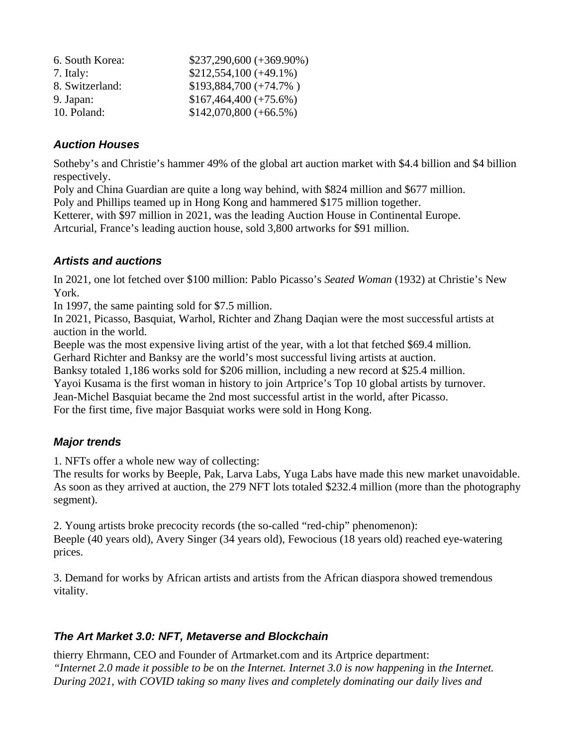| 6. South Korea: | \$237,290,600 (+369.90%) |
|-----------------|--------------------------|
| 7. Italy:       | $$212,554,100 (+49.1\%)$ |
| 8. Switzerland: | $$193,884,700 (+74.7%)$  |
| 9. Japan:       | $$167,464,400 (+75.6%)$  |
| 10. Poland:     | $$142,070,800 (+66.5%)$  |

#### *Auction Houses*

Sotheby's and Christie's hammer 49% of the global art auction market with \$4.4 billion and \$4 billion respectively.

Poly and China Guardian are quite a long way behind, with \$824 million and \$677 million. Poly and Phillips teamed up in Hong Kong and hammered \$175 million together.

Ketterer, with \$97 million in 2021, was the leading Auction House in Continental Europe.

Artcurial, France's leading auction house, sold 3,800 artworks for \$91 million.

#### *Artists and auctions*

In 2021, one lot fetched over \$100 million: Pablo Picasso's *Seated Woman* (1932) at Christie's New York.

In 1997, the same painting sold for \$7.5 million.

In 2021, Picasso, Basquiat, Warhol, Richter and Zhang Daqian were the most successful artists at auction in the world.

Beeple was the most expensive living artist of the year, with a lot that fetched \$69.4 million.

Gerhard Richter and Banksy are the world's most successful living artists at auction.

Banksy totaled 1,186 works sold for \$206 million, including a new record at \$25.4 million.

Yayoi Kusama is the first woman in history to join Artprice's Top 10 global artists by turnover.

Jean-Michel Basquiat became the 2nd most successful artist in the world, after Picasso.

For the first time, five major Basquiat works were sold in Hong Kong.

## *Major trends*

1. NFTs offer a whole new way of collecting:

The results for works by Beeple, Pak, Larva Labs, Yuga Labs have made this new market unavoidable. As soon as they arrived at auction, the 279 NFT lots totaled \$232.4 million (more than the photography segment).

2. Young artists broke precocity records (the so-called "red-chip" phenomenon): Beeple (40 years old), Avery Singer (34 years old), Fewocious (18 years old) reached eye-watering prices.

3. Demand for works by African artists and artists from the African diaspora showed tremendous vitality.

## *The Art Market 3.0: NFT, Metaverse and Blockchain*

thierry Ehrmann, CEO and Founder of Artmarket.com and its Artprice department: *"Internet 2.0 made it possible to be* on *the Internet. Internet 3.0 is now happening* in *the Internet. During 2021, with COVID taking so many lives and completely dominating our daily lives and*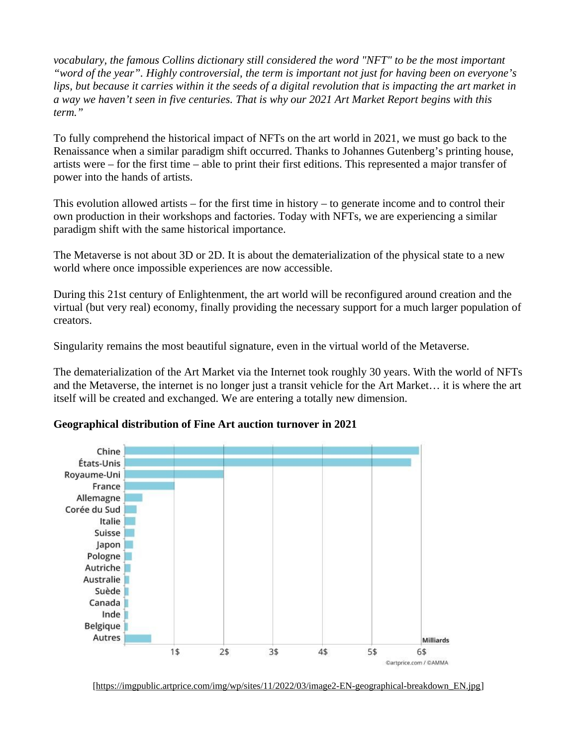*vocabulary, the famous Collins dictionary still considered the word "NFT" to be the most important "word of the year". Highly controversial, the term is important not just for having been on everyone's*  lips, but because it carries within it the seeds of a digital revolution that is impacting the art market in *a way we haven't seen in five centuries. That is why our 2021 Art Market Report begins with this term."*

To fully comprehend the historical impact of NFTs on the art world in 2021, we must go back to the Renaissance when a similar paradigm shift occurred. Thanks to Johannes Gutenberg's printing house, artists were – for the first time – able to print their first editions. This represented a major transfer of power into the hands of artists.

This evolution allowed artists  $-$  for the first time in history  $-$  to generate income and to control their own production in their workshops and factories. Today with NFTs, we are experiencing a similar paradigm shift with the same historical importance.

The Metaverse is not about 3D or 2D. It is about the dematerialization of the physical state to a new world where once impossible experiences are now accessible.

During this 21st century of Enlightenment, the art world will be reconfigured around creation and the virtual (but very real) economy, finally providing the necessary support for a much larger population of creators.

Singularity remains the most beautiful signature, even in the virtual world of the Metaverse.

The dematerialization of the Art Market via the Internet took roughly 30 years. With the world of NFTs and the Metaverse, the internet is no longer just a transit vehicle for the Art Market… it is where the art itself will be created and exchanged. We are entering a totally new dimension.



#### **Geographical distribution of Fine Art auction turnover in 2021**

[[https://imgpublic.artprice.com/img/wp/sites/11/2022/03/image2-EN-geographical-breakdown\\_EN.jpg](https://imgpublic.artprice.com/img/wp/sites/11/2022/03/image2-EN-geographical-breakdown_EN.jpg)]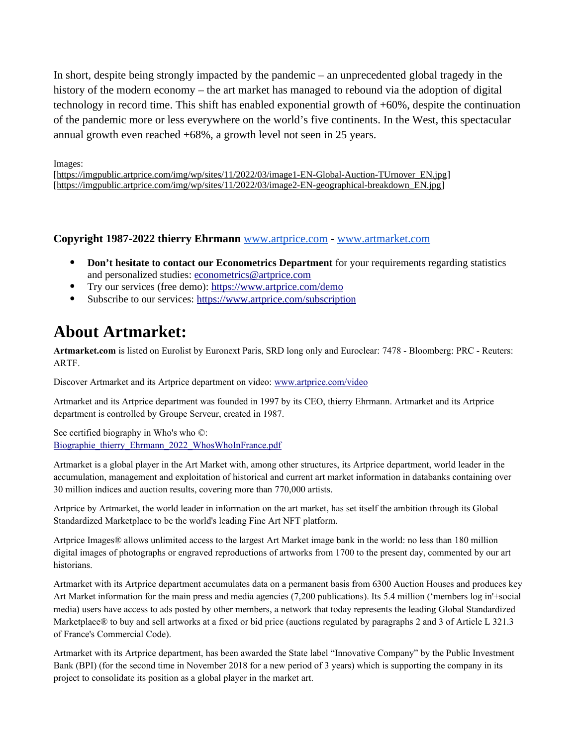In short, despite being strongly impacted by the pandemic – an unprecedented global tragedy in the history of the modern economy – the art market has managed to rebound via the adoption of digital technology in record time. This shift has enabled exponential growth of +60%, despite the continuation of the pandemic more or less everywhere on the world's five continents. In the West, this spectacular annual growth even reached +68%, a growth level not seen in 25 years.

Images: [\[https://imgpublic.artprice.com/img/wp/sites/11/2022/03/image1-EN-Global-Auction-TUrnover\\_EN.jpg\]](https://imgpublic.artprice.com/img/wp/sites/11/2022/03/image1-EN-Global-Auction-TUrnover_EN.jpg) [\[https://imgpublic.artprice.com/img/wp/sites/11/2022/03/image2-EN-geographical-breakdown\\_EN.jpg\]](https://imgpublic.artprice.com/img/wp/sites/11/2022/03/image2-EN-geographical-breakdown_EN.jpg)

#### **Copyright 1987-2022 thierry Ehrmann** [www.artprice.com](https://www.artprice.com/) - [www.artmarket.com](https://www.artmarket.com/)

- **Don't hesitate to contact our Econometrics Department** for your requirements regarding statistics and personalized studies: [econometrics@artprice.com](mailto:econometrics@artprice.com)
- Try our services (free demo):<https://www.artprice.com/demo>
- Subscribe to our services: <https://www.artprice.com/subscription>

# **About Artmarket:**

**Artmarket.com** is listed on Eurolist by Euronext Paris, SRD long only and Euroclear: 7478 - Bloomberg: PRC - Reuters: ARTF.

Discover Artmarket and its Artprice department on video: [www.artprice.com/video](https://www.artprice.com/video)

Artmarket and its Artprice department was founded in 1997 by its CEO, thierry Ehrmann. Artmarket and its Artprice department is controlled by Groupe Serveur, created in 1987.

See certified biography in Who's who ©: [Biographie\\_thierry\\_Ehrmann\\_2022\\_WhosWhoInFrance.pdf](https://imgpublic.artprice.com/img/wp/sites/11/2021/11/Biographie_thierry_Ehrmann_2022_WhosWhoInFrance.pdf)

Artmarket is a global player in the Art Market with, among other structures, its Artprice department, world leader in the accumulation, management and exploitation of historical and current art market information in databanks containing over 30 million indices and auction results, covering more than 770,000 artists.

Artprice by Artmarket, the world leader in information on the art market, has set itself the ambition through its Global Standardized Marketplace to be the world's leading Fine Art NFT platform.

Artprice Images® allows unlimited access to the largest Art Market image bank in the world: no less than 180 million digital images of photographs or engraved reproductions of artworks from 1700 to the present day, commented by our art historians.

Artmarket with its Artprice department accumulates data on a permanent basis from 6300 Auction Houses and produces key Art Market information for the main press and media agencies (7,200 publications). Its 5.4 million ('members log in'+social media) users have access to ads posted by other members, a network that today represents the leading Global Standardized Marketplace® to buy and sell artworks at a fixed or bid price (auctions regulated by paragraphs 2 and 3 of Article L 321.3 of France's Commercial Code).

Artmarket with its Artprice department, has been awarded the State label "Innovative Company" by the Public Investment Bank (BPI) (for the second time in November 2018 for a new period of 3 years) which is supporting the company in its project to consolidate its position as a global player in the market art.